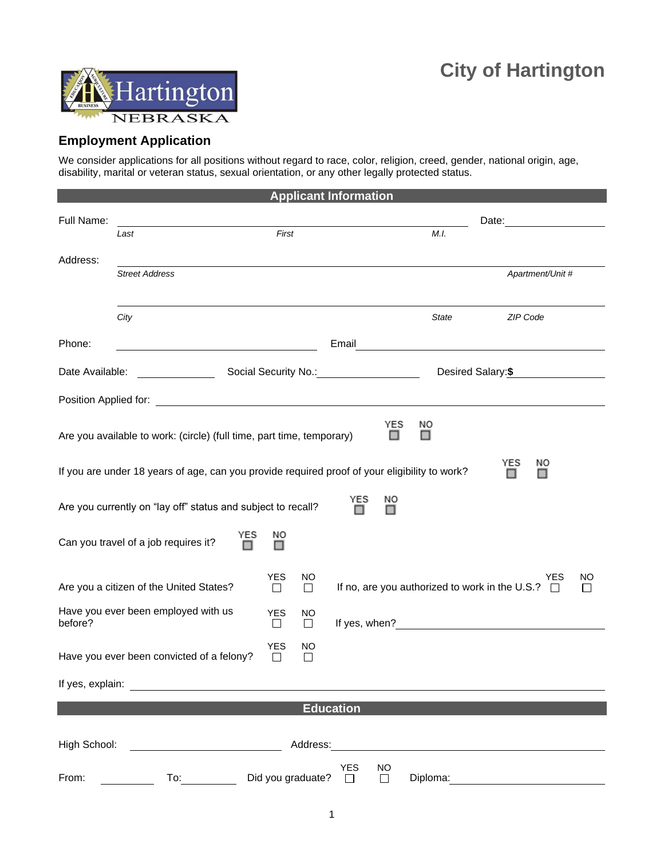

## **Employment Application**

We consider applications for all positions without regard to race, color, religion, creed, gender, national origin, age, disability, marital or veteran status, sexual orientation, or any other legally protected status.

| <b>Applicant Information</b>                                           |                                                                                                                                                                                                                                      |                                      |                                                                         |                                                                                                      |                                                                                                                                                                                                                                      |  |  |
|------------------------------------------------------------------------|--------------------------------------------------------------------------------------------------------------------------------------------------------------------------------------------------------------------------------------|--------------------------------------|-------------------------------------------------------------------------|------------------------------------------------------------------------------------------------------|--------------------------------------------------------------------------------------------------------------------------------------------------------------------------------------------------------------------------------------|--|--|
| Full Name:                                                             |                                                                                                                                                                                                                                      |                                      |                                                                         | Date:                                                                                                |                                                                                                                                                                                                                                      |  |  |
|                                                                        | Last                                                                                                                                                                                                                                 | First                                |                                                                         | M.I.                                                                                                 |                                                                                                                                                                                                                                      |  |  |
|                                                                        |                                                                                                                                                                                                                                      |                                      |                                                                         |                                                                                                      |                                                                                                                                                                                                                                      |  |  |
| Address:                                                               | <b>Street Address</b>                                                                                                                                                                                                                |                                      |                                                                         |                                                                                                      | Apartment/Unit #                                                                                                                                                                                                                     |  |  |
|                                                                        |                                                                                                                                                                                                                                      |                                      |                                                                         |                                                                                                      |                                                                                                                                                                                                                                      |  |  |
|                                                                        |                                                                                                                                                                                                                                      |                                      |                                                                         |                                                                                                      |                                                                                                                                                                                                                                      |  |  |
|                                                                        | City                                                                                                                                                                                                                                 |                                      |                                                                         | <b>State</b>                                                                                         | ZIP Code                                                                                                                                                                                                                             |  |  |
| Phone:                                                                 |                                                                                                                                                                                                                                      |                                      | Email                                                                   | <u> 1980 - Johann Stein, fransk politik (d. 1980)</u>                                                |                                                                                                                                                                                                                                      |  |  |
|                                                                        |                                                                                                                                                                                                                                      |                                      |                                                                         |                                                                                                      |                                                                                                                                                                                                                                      |  |  |
| Date Available:                                                        |                                                                                                                                                                                                                                      |                                      | Social Security No.: 2008 2012 2022                                     | Desired Salary:\$                                                                                    |                                                                                                                                                                                                                                      |  |  |
|                                                                        | Position Applied for: <u>contract the contract of the contract of the contract of the contract of the contract of the contract of the contract of the contract of the contract of the contract of the contract of the contract o</u> |                                      |                                                                         |                                                                                                      |                                                                                                                                                                                                                                      |  |  |
|                                                                        |                                                                                                                                                                                                                                      |                                      |                                                                         | YES<br>NO                                                                                            |                                                                                                                                                                                                                                      |  |  |
|                                                                        | Are you available to work: (circle) (full time, part time, temporary)                                                                                                                                                                |                                      |                                                                         |                                                                                                      |                                                                                                                                                                                                                                      |  |  |
|                                                                        |                                                                                                                                                                                                                                      |                                      |                                                                         |                                                                                                      |                                                                                                                                                                                                                                      |  |  |
|                                                                        | If you are under 18 years of age, can you provide required proof of your eligibility to work?                                                                                                                                        |                                      |                                                                         |                                                                                                      | YES<br>ΝO                                                                                                                                                                                                                            |  |  |
|                                                                        |                                                                                                                                                                                                                                      |                                      |                                                                         |                                                                                                      |                                                                                                                                                                                                                                      |  |  |
|                                                                        | Are you currently on "lay off" status and subject to recall?                                                                                                                                                                         |                                      | YES<br>NO                                                               |                                                                                                      |                                                                                                                                                                                                                                      |  |  |
|                                                                        | YES                                                                                                                                                                                                                                  | ΝO                                   |                                                                         |                                                                                                      |                                                                                                                                                                                                                                      |  |  |
|                                                                        | Can you travel of a job requires it?                                                                                                                                                                                                 |                                      |                                                                         |                                                                                                      |                                                                                                                                                                                                                                      |  |  |
|                                                                        |                                                                                                                                                                                                                                      |                                      |                                                                         |                                                                                                      |                                                                                                                                                                                                                                      |  |  |
| <b>YES</b><br>NO.<br>Are you a citizen of the United States?<br>$\Box$ |                                                                                                                                                                                                                                      |                                      | YES<br>NO<br>If no, are you authorized to work in the U.S.? □<br>$\Box$ |                                                                                                      |                                                                                                                                                                                                                                      |  |  |
|                                                                        |                                                                                                                                                                                                                                      | $\Box$                               |                                                                         |                                                                                                      |                                                                                                                                                                                                                                      |  |  |
| before?                                                                | Have you ever been employed with us                                                                                                                                                                                                  | <b>YES</b><br>NO<br>$\Box$<br>$\Box$ |                                                                         | If yes, when?                                                                                        |                                                                                                                                                                                                                                      |  |  |
|                                                                        |                                                                                                                                                                                                                                      |                                      |                                                                         |                                                                                                      |                                                                                                                                                                                                                                      |  |  |
|                                                                        | Have you ever been convicted of a felony?                                                                                                                                                                                            | <b>YES</b><br>ΝO<br>$\Box$<br>ΙI     |                                                                         |                                                                                                      |                                                                                                                                                                                                                                      |  |  |
|                                                                        |                                                                                                                                                                                                                                      |                                      |                                                                         |                                                                                                      |                                                                                                                                                                                                                                      |  |  |
|                                                                        |                                                                                                                                                                                                                                      |                                      |                                                                         |                                                                                                      |                                                                                                                                                                                                                                      |  |  |
| <b>Education</b>                                                       |                                                                                                                                                                                                                                      |                                      |                                                                         |                                                                                                      |                                                                                                                                                                                                                                      |  |  |
|                                                                        |                                                                                                                                                                                                                                      |                                      |                                                                         |                                                                                                      |                                                                                                                                                                                                                                      |  |  |
| High School:                                                           | the contract of the contract of the contract of                                                                                                                                                                                      |                                      |                                                                         | Address: Address: Address: Address: Address: Address: Address: Address: Address: Address: Address: A |                                                                                                                                                                                                                                      |  |  |
|                                                                        |                                                                                                                                                                                                                                      |                                      | <b>YES</b><br><b>NO</b>                                                 |                                                                                                      |                                                                                                                                                                                                                                      |  |  |
| From:                                                                  |                                                                                                                                                                                                                                      | Did you graduate? $\Box$             | $\Box$                                                                  |                                                                                                      | Diploma: <u>contract and contract and contract and contract and contract and contract and contract and contract of the set of the set of the set of the set of the set of the set of the set of the set of the set of the set of</u> |  |  |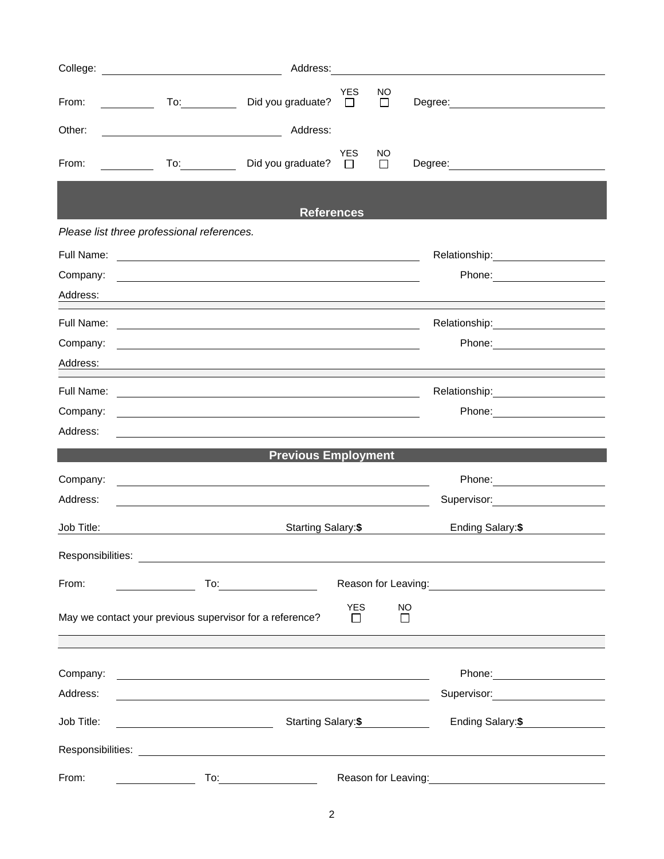|            |                                                                                                                                                               | Address: Analysis and the state of the state of the state of the state of the state of the state of the state of the state of the state of the state of the state of the state of the state of the state of the state of the s |              |                                                                                                                  |  |
|------------|---------------------------------------------------------------------------------------------------------------------------------------------------------------|--------------------------------------------------------------------------------------------------------------------------------------------------------------------------------------------------------------------------------|--------------|------------------------------------------------------------------------------------------------------------------|--|
| From:      | Did you graduate?<br>To: and the state of the state of the state of the state of the state of the state of the state of the state o<br><u>and a strong to</u> | <b>YES</b><br>$\Box$                                                                                                                                                                                                           | NO<br>$\Box$ |                                                                                                                  |  |
| Other:     | <u> 1980 - Johann Barn, mars et al. (</u>                                                                                                                     | Address:                                                                                                                                                                                                                       |              |                                                                                                                  |  |
| From:      | Did you graduate?<br>$\mathcal{L}=\{1,2,\ldots,n\}$ .                                                                                                         | <b>YES</b><br>$\Box$                                                                                                                                                                                                           | NO.<br>□     | Degree: <u>_________________</u>                                                                                 |  |
|            |                                                                                                                                                               | <b>References</b>                                                                                                                                                                                                              |              |                                                                                                                  |  |
|            | Please list three professional references.                                                                                                                    |                                                                                                                                                                                                                                |              |                                                                                                                  |  |
| Full Name: |                                                                                                                                                               |                                                                                                                                                                                                                                |              |                                                                                                                  |  |
| Company:   | <u> 1989 - Johann Stein, marwolaethau a bhann an t-Amhain ann an t-Amhain an t-Amhain an t-Amhain an t-Amhain an </u>                                         |                                                                                                                                                                                                                                |              |                                                                                                                  |  |
| Address:   |                                                                                                                                                               |                                                                                                                                                                                                                                |              |                                                                                                                  |  |
|            |                                                                                                                                                               |                                                                                                                                                                                                                                |              |                                                                                                                  |  |
| Company:   | and the control of the control of the control of the control of the control of the control of the control of the                                              |                                                                                                                                                                                                                                |              | Phone: ________________________                                                                                  |  |
| Address:   |                                                                                                                                                               |                                                                                                                                                                                                                                |              |                                                                                                                  |  |
| Full Name: |                                                                                                                                                               |                                                                                                                                                                                                                                |              | Relationship:<br><u>__________________________</u>                                                               |  |
| Company:   |                                                                                                                                                               |                                                                                                                                                                                                                                |              |                                                                                                                  |  |
| Address:   |                                                                                                                                                               |                                                                                                                                                                                                                                |              |                                                                                                                  |  |
|            |                                                                                                                                                               | <b>Previous Employment</b>                                                                                                                                                                                                     |              |                                                                                                                  |  |
| Company:   |                                                                                                                                                               |                                                                                                                                                                                                                                |              | Phone: _________________________                                                                                 |  |
| Address:   | <u> 1989 - Johann Stoff, deutscher Stoff, der Stoff, der Stoff, der Stoff, der Stoff, der Stoff, der Stoff, der S</u>                                         |                                                                                                                                                                                                                                |              | Supervisor: Victor Communication Communication                                                                   |  |
| Job Title: |                                                                                                                                                               | Starting Salary:\$                                                                                                                                                                                                             |              | Ending Salary: \$                                                                                                |  |
|            |                                                                                                                                                               |                                                                                                                                                                                                                                |              |                                                                                                                  |  |
|            |                                                                                                                                                               |                                                                                                                                                                                                                                |              |                                                                                                                  |  |
| From:      | $To: \begin{tabular}{ c c c } \hline \quad \quad & \quad \quad & \quad \quad \\ \hline \end{tabular}$                                                         |                                                                                                                                                                                                                                |              | Reason for Leaving: Management Control of Reason for Leaving:                                                    |  |
|            | May we contact your previous supervisor for a reference?                                                                                                      | <b>YES</b><br>$\Box$                                                                                                                                                                                                           | NO<br>П      |                                                                                                                  |  |
|            |                                                                                                                                                               |                                                                                                                                                                                                                                |              |                                                                                                                  |  |
| Company:   | <u> 1989 - Johann Barn, amerikan besteman besteman besteman besteman besteman besteman besteman besteman besteman</u>                                         |                                                                                                                                                                                                                                |              |                                                                                                                  |  |
| Address:   | <u> 1989 - Johann Stoff, deutscher Stoffen und der Stoffen und der Stoffen und der Stoffen und der Stoffen und der</u>                                        |                                                                                                                                                                                                                                |              | Supervisor: Victor Control of Control Control Control Control Control Control Control Control Control Control Co |  |
| Job Title: |                                                                                                                                                               | Starting Salary: \$                                                                                                                                                                                                            |              | Ending Salary: \$                                                                                                |  |
|            |                                                                                                                                                               |                                                                                                                                                                                                                                |              |                                                                                                                  |  |